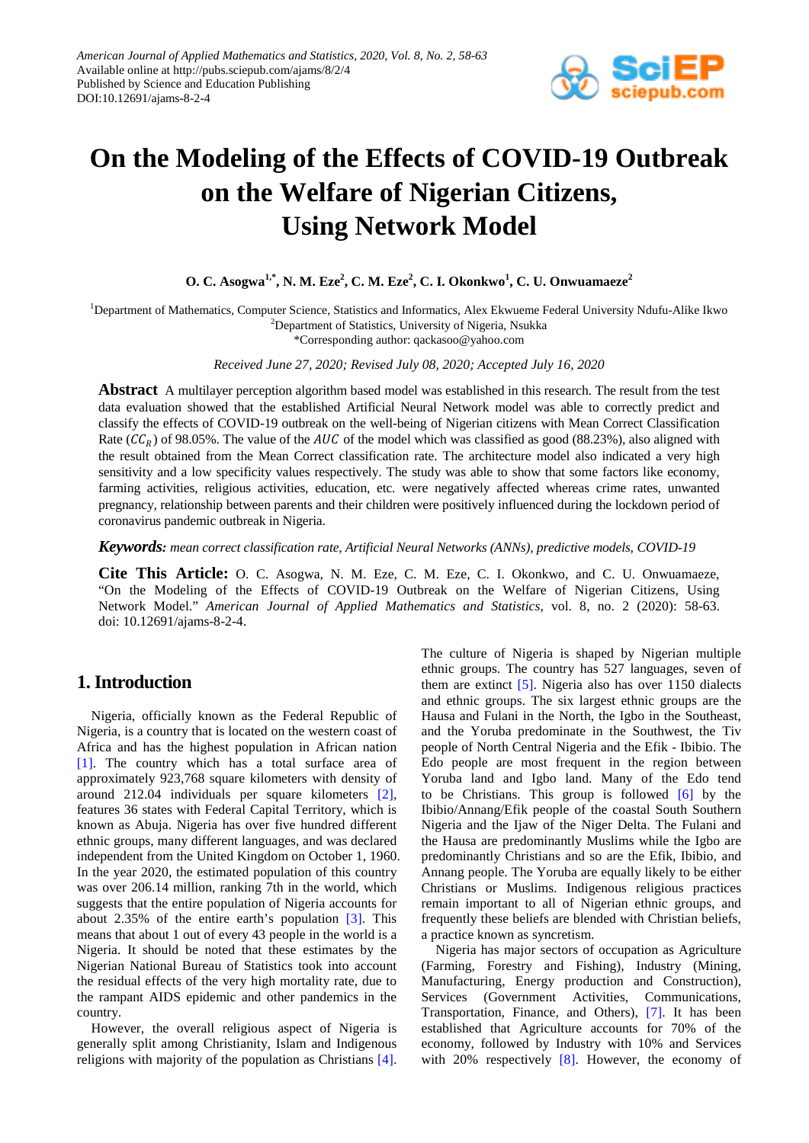

# **On the Modeling of the Effects of COVID-19 Outbreak on the Welfare of Nigerian Citizens, Using Network Model**

**O. C. Asogwa1,\* , N. M. Eze<sup>2</sup> , C. M. Eze<sup>2</sup> , C. I. Okonkwo<sup>1</sup> , C. U. Onwuamaeze<sup>2</sup>**

<sup>1</sup>Department of Mathematics, Computer Science, Statistics and Informatics, Alex Ekwueme Federal University Ndufu-Alike Ikwo <sup>2</sup>Department of Statistics, University of Nigeria, Nsukka

\*Corresponding author: qackasoo@yahoo.com

*Received June 27, 2020; Revised July 08, 2020; Accepted July 16, 2020*

**Abstract** A multilayer perception algorithm based model was established in this research. The result from the test data evaluation showed that the established Artificial Neural Network model was able to correctly predict and classify the effects of COVID-19 outbreak on the well-being of Nigerian citizens with Mean Correct Classification Rate ( $\mathcal{CC}_R$ ) of 98.05%. The value of the AUC of the model which was classified as good (88.23%), also aligned with the result obtained from the Mean Correct classification rate. The architecture model also indicated a very high sensitivity and a low specificity values respectively. The study was able to show that some factors like economy, farming activities, religious activities, education, etc. were negatively affected whereas crime rates, unwanted pregnancy, relationship between parents and their children were positively influenced during the lockdown period of coronavirus pandemic outbreak in Nigeria.

*Keywords: mean correct classification rate, Artificial Neural Networks (ANNs), predictive models, COVID-19*

**Cite This Article:** O. C. Asogwa, N. M. Eze, C. M. Eze, C. I. Okonkwo, and C. U. Onwuamaeze, "On the Modeling of the Effects of COVID-19 Outbreak on the Welfare of Nigerian Citizens, Using Network Model." *American Journal of Applied Mathematics and Statistics*, vol. 8, no. 2 (2020): 58-63. doi: 10.12691/ajams-8-2-4.

## **1. Introduction**

Nigeria, officially known as the Federal Republic of Nigeria, is a country that is located on the western coast of Africa and has the highest population in African nation [\[1\].](#page-3-0) The country which has a total surface area of approximately 923,768 square kilometers with density of around 212.04 individuals per square kilometers [\[2\],](#page-3-1) features 36 states with Federal Capital Territory, which is known as Abuja. Nigeria has over five hundred different ethnic groups, many different languages, and was declared independent from the United Kingdom on October 1, 1960. In the year 2020, the estimated population of this country was over 206.14 million, ranking 7th in the world, which suggests that the entire population of Nigeria accounts for about 2.35% of the entire earth's population [\[3\].](#page-3-2) This means that about 1 out of every 43 people in the world is a Nigeria. It should be noted that these estimates by the Nigerian National Bureau of Statistics took into account the residual effects of the very high mortality rate, due to the rampant AIDS epidemic and other pandemics in the country.

However, the overall religious aspect of Nigeria is generally split among Christianity, Islam and Indigenous religions with majority of the population as Christians [\[4\].](#page-3-3)

The culture of Nigeria is shaped by Nigerian multiple ethnic groups. The country has 527 languages, seven of them are extinct [\[5\].](#page-3-4) Nigeria also has over 1150 dialects and ethnic groups. The six largest ethnic groups are the Hausa and Fulani in the North, the Igbo in the Southeast, and the Yoruba predominate in the Southwest, the Tiv people of North Central Nigeria and the Efik - Ibibio. The Edo people are most frequent in the region between Yoruba land and Igbo land. Many of the Edo tend to be Christians. This group is followed [\[6\]](#page-3-5) by the Ibibio/Annang/Efik people of the coastal South Southern Nigeria and the Ijaw of the Niger Delta. The Fulani and the Hausa are predominantly Muslims while the Igbo are predominantly Christians and so are the Efik, Ibibio, and Annang people. The Yoruba are equally likely to be either Christians or Muslims. Indigenous religious practices remain important to all of Nigerian ethnic groups, and frequently these beliefs are blended with Christian beliefs, a practice known as syncretism.

Nigeria has major sectors of occupation as Agriculture (Farming, Forestry and Fishing), Industry (Mining, Manufacturing, Energy production and Construction), Services (Government Activities, Communications, Transportation, Finance, and Others), [\[7\].](#page-3-6) It has been established that Agriculture accounts for 70% of the economy, followed by Industry with 10% and Services with 20% respectively [\[8\].](#page-3-7) However, the economy of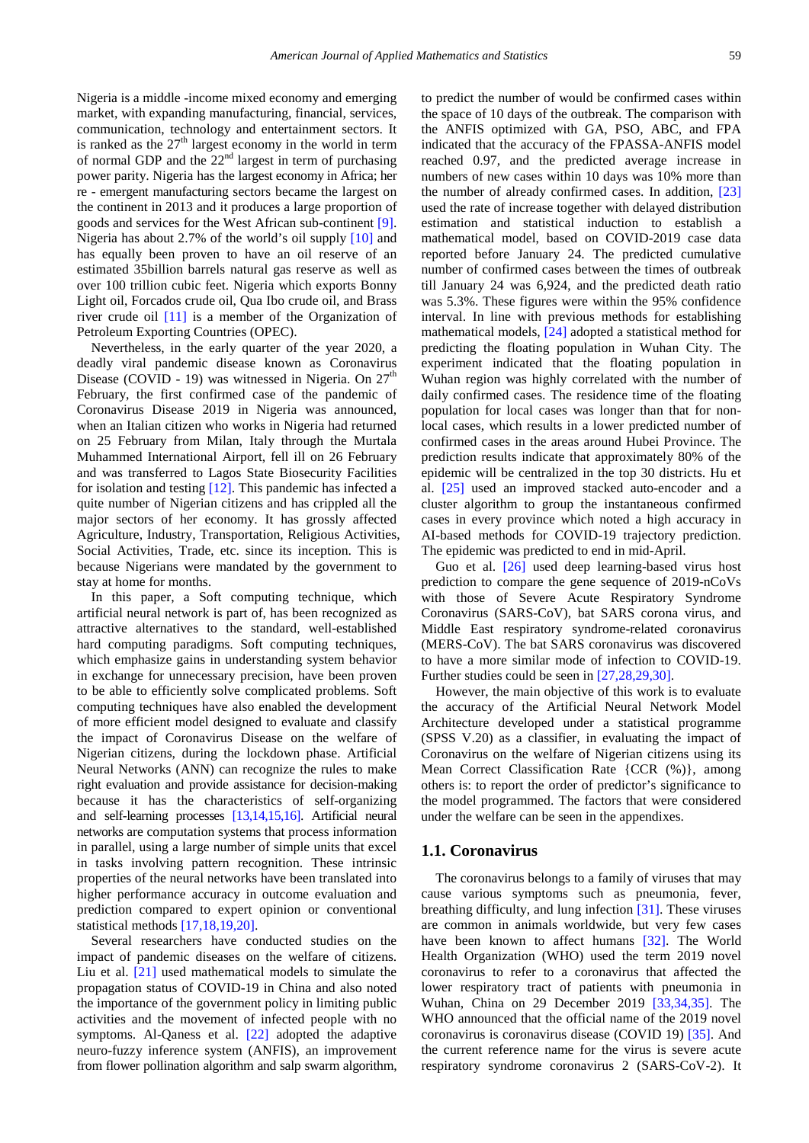Nigeria is a middle -income mixed economy and emerging market, with expanding manufacturing, financial, services, communication, technology and entertainment sectors. It is ranked as the  $27<sup>th</sup>$  largest economy in the world in term of normal GDP and the  $22<sup>nd</sup>$  largest in term of purchasing power parity. Nigeria has the largest economy in Africa; her re - emergent manufacturing sectors became the largest on the continent in 2013 and it produces a large proportion of goods and services for the West African sub-continent [\[9\].](#page-3-8) Nigeria has about 2.7% of the world's oil supply [\[10\]](#page-3-9) and has equally been proven to have an oil reserve of an estimated 35billion barrels natural gas reserve as well as over 100 trillion cubic feet. Nigeria which exports Bonny Light oil, Forcados crude oil, Qua Ibo crude oil, and Brass river crude oil [\[11\]](#page-3-10) is a member of the Organization of Petroleum Exporting Countries (OPEC).

Nevertheless, in the early quarter of the year 2020, a deadly viral pandemic disease known as Coronavirus Disease (COVID - 19) was witnessed in Nigeria. On  $27<sup>th</sup>$ February, the first confirmed case of the pandemic of Coronavirus Disease 2019 in Nigeria was announced, when an Italian citizen who works in Nigeria had returned on 25 February from Milan, Italy through the Murtala Muhammed International Airport, fell ill on 26 February and was transferred to Lagos State Biosecurity Facilities for isolation and testing [\[12\].](#page-3-11) This pandemic has infected a quite number of Nigerian citizens and has crippled all the major sectors of her economy. It has grossly affected Agriculture, Industry, Transportation, Religious Activities, Social Activities, Trade, etc. since its inception. This is because Nigerians were mandated by the government to stay at home for months.

In this paper, a Soft computing technique, which artificial neural network is part of, has been recognized as attractive alternatives to the standard, well-established hard computing paradigms. Soft computing techniques, which emphasize gains in understanding system behavior in exchange for unnecessary precision, have been proven to be able to efficiently solve complicated problems. Soft computing techniques have also enabled the development of more efficient model designed to evaluate and classify the impact of Coronavirus Disease on the welfare of Nigerian citizens, during the lockdown phase. Artificial Neural Networks (ANN) can recognize the rules to make right evaluation and provide assistance for decision-making because it has the characteristics of self-organizing and self-learning processes [\[13,14,15,16\].](#page-3-12) Artificial neural networks are computation systems that process information in parallel, using a large number of simple units that excel in tasks involving pattern recognition. These intrinsic properties of the neural networks have been translated into higher performance accuracy in outcome evaluation and prediction compared to expert opinion or conventional statistical methods [\[17,18,19,20\].](#page-4-0)

Several researchers have conducted studies on the impact of pandemic diseases on the welfare of citizens. Liu et al. [\[21\]](#page-4-1) used mathematical models to simulate the propagation status of COVID-19 in China and also noted the importance of the government policy in limiting public activities and the movement of infected people with no symptoms. Al-Qaness et al. [\[22\]](#page-4-2) adopted the adaptive neuro-fuzzy inference system (ANFIS), an improvement from flower pollination algorithm and salp swarm algorithm, to predict the number of would be confirmed cases within the space of 10 days of the outbreak. The comparison with the ANFIS optimized with GA, PSO, ABC, and FPA indicated that the accuracy of the FPASSA-ANFIS model reached 0.97, and the predicted average increase in numbers of new cases within 10 days was 10% more than the number of already confirmed cases. In addition, [\[23\]](#page-4-3) used the rate of increase together with delayed distribution estimation and statistical induction to establish a mathematical model, based on COVID-2019 case data reported before January 24. The predicted cumulative number of confirmed cases between the times of outbreak till January 24 was 6,924, and the predicted death ratio was 5.3%. These figures were within the 95% confidence interval. In line with previous methods for establishing mathematical models, [\[24\]](#page-4-4) adopted a statistical method for predicting the floating population in Wuhan City. The experiment indicated that the floating population in Wuhan region was highly correlated with the number of daily confirmed cases. The residence time of the floating population for local cases was longer than that for nonlocal cases, which results in a lower predicted number of confirmed cases in the areas around Hubei Province. The prediction results indicate that approximately 80% of the epidemic will be centralized in the top 30 districts. Hu et al. [\[25\]](#page-4-5) used an improved stacked auto-encoder and a cluster algorithm to group the instantaneous confirmed cases in every province which noted a high accuracy in AI-based methods for COVID-19 trajectory prediction. The epidemic was predicted to end in mid-April.

Guo et al. [\[26\]](#page-4-6) used deep learning-based virus host prediction to compare the gene sequence of 2019-nCoVs with those of Severe Acute Respiratory Syndrome Coronavirus (SARS-CoV), bat SARS corona virus, and Middle East respiratory syndrome-related coronavirus (MERS-CoV). The bat SARS coronavirus was discovered to have a more similar mode of infection to COVID-19. Further studies could be seen in [\[27,28,29,30\].](#page-4-7)

However, the main objective of this work is to evaluate the accuracy of the Artificial Neural Network Model Architecture developed under a statistical programme (SPSS V.20) as a classifier, in evaluating the impact of Coronavirus on the welfare of Nigerian citizens using its Mean Correct Classification Rate {CCR (%)}, among others is: to report the order of predictor's significance to the model programmed. The factors that were considered under the welfare can be seen in the appendixes.

#### **1.1. Coronavirus**

The coronavirus belongs to a family of viruses that may cause various symptoms such as pneumonia, fever, breathing difficulty, and lung infection [\[31\].](#page-4-8) These viruses are common in animals worldwide, but very few cases have been known to affect humans [\[32\].](#page-4-9) The World Health Organization (WHO) used the term 2019 novel coronavirus to refer to a coronavirus that affected the lower respiratory tract of patients with pneumonia in Wuhan, China on 29 December 2019 [\[33,34,35\].](#page-4-10) The WHO announced that the official name of the 2019 novel coronavirus is coronavirus disease (COVID 19) [\[35\].](#page-4-11) And the current reference name for the virus is severe acute respiratory syndrome coronavirus 2 (SARS-CoV-2). It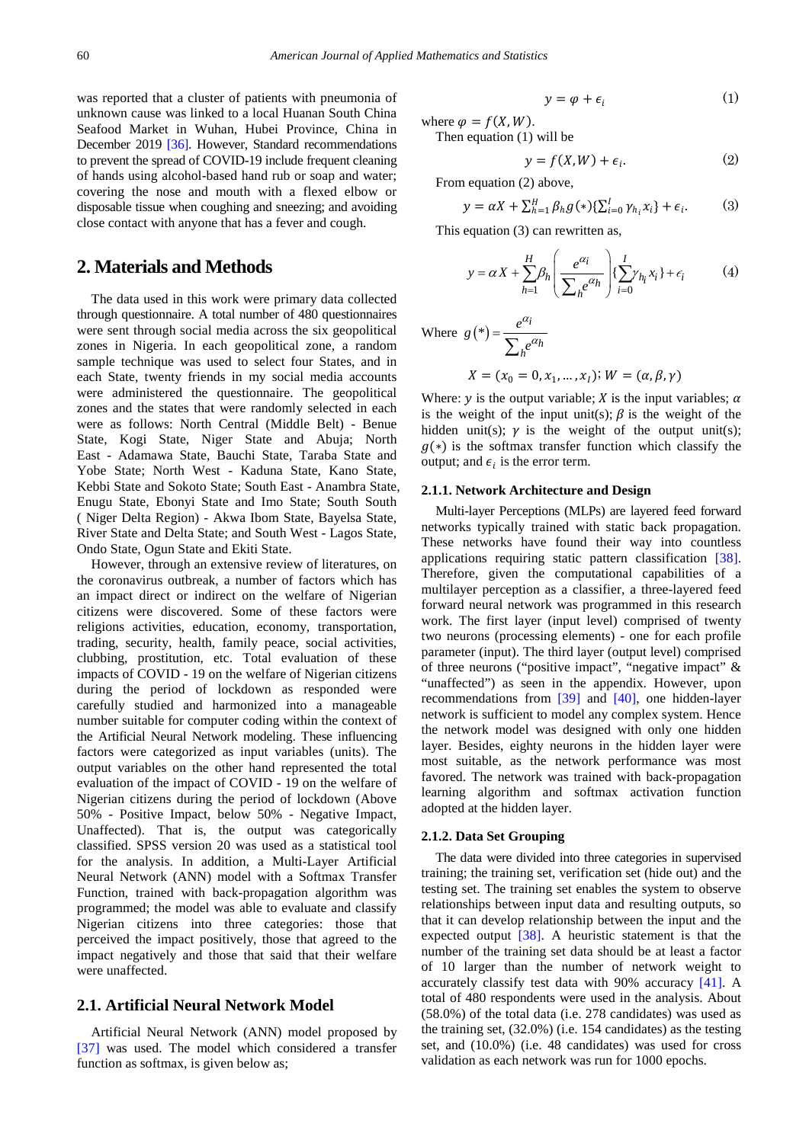was reported that a cluster of patients with pneumonia of unknown cause was linked to a local Huanan South China Seafood Market in Wuhan, Hubei Province, China in December 2019 [\[36\].](#page-4-12) However, Standard recommendations to prevent the spread of COVID-19 include frequent cleaning of hands using alcohol-based hand rub or soap and water; covering the nose and mouth with a flexed elbow or disposable tissue when coughing and sneezing; and avoiding close contact with anyone that has a fever and cough.

## **2. Materials and Methods**

The data used in this work were primary data collected through questionnaire. A total number of 480 questionnaires were sent through social media across the six geopolitical zones in Nigeria. In each geopolitical zone, a random sample technique was used to select four States, and in each State, twenty friends in my social media accounts were administered the questionnaire. The geopolitical zones and the states that were randomly selected in each were as follows: North Central (Middle Belt) - Benue State, Kogi State, Niger State and Abuja; North East - Adamawa State, Bauchi State, Taraba State and Yobe State; North West - Kaduna State, Kano State, Kebbi State and Sokoto State; South East - Anambra State, Enugu State, Ebonyi State and Imo State; South South ( Niger Delta Region) - Akwa Ibom State, Bayelsa State, River State and Delta State; and South West - Lagos State, Ondo State, Ogun State and Ekiti State.

However, through an extensive review of literatures, on the coronavirus outbreak, a number of factors which has an impact direct or indirect on the welfare of Nigerian citizens were discovered. Some of these factors were religions activities, education, economy, transportation, trading, security, health, family peace, social activities, clubbing, prostitution, etc. Total evaluation of these impacts of COVID - 19 on the welfare of Nigerian citizens during the period of lockdown as responded were carefully studied and harmonized into a manageable number suitable for computer coding within the context of the Artificial Neural Network modeling. These influencing factors were categorized as input variables (units). The output variables on the other hand represented the total evaluation of the impact of COVID - 19 on the welfare of Nigerian citizens during the period of lockdown (Above 50% - Positive Impact, below 50% - Negative Impact, Unaffected). That is, the output was categorically classified. SPSS version 20 was used as a statistical tool for the analysis. In addition, a Multi-Layer Artificial Neural Network (ANN) model with a Softmax Transfer Function, trained with back-propagation algorithm was programmed; the model was able to evaluate and classify Nigerian citizens into three categories: those that perceived the impact positively, those that agreed to the impact negatively and those that said that their welfare were unaffected.

#### **2.1. Artificial Neural Network Model**

Artificial Neural Network (ANN) model proposed by [\[37\]](#page-4-13) was used. The model which considered a transfer function as softmax, is given below as;

$$
y = \varphi + \epsilon_i \tag{1}
$$

where  $\varphi = f(X, W)$ . Then equation (1) will be

$$
y = f(X, W) + \epsilon_i. \tag{2}
$$

From equation (2) above,

$$
y = \alpha X + \sum_{h=1}^{H} \beta_h g(*) \{\sum_{i=0}^{I} \gamma_{h_i} x_i\} + \epsilon_i.
$$
 (3)

This equation (3) can rewritten as,

$$
y = \alpha X + \sum_{h=1}^{H} \beta_h \left( \frac{e^{\alpha_i}}{\sum_{h} e^{\alpha_h}} \right) \left\{ \sum_{i=0}^{I} \gamma_{h_i} x_i \right\} + \epsilon_i \tag{4}
$$

Where 
$$
g(*) = \frac{e^{\alpha_i}}{\sum_{h} e^{\alpha_h}}
$$
  

$$
X = (x_0 = 0, x_1, ..., x_I); W = (\alpha, \beta, \gamma)
$$

Where: y is the output variable;  $X$  is the input variables;  $\alpha$ is the weight of the input unit(s);  $\beta$  is the weight of the hidden unit(s);  $\gamma$  is the weight of the output unit(s);  $g(*)$  is the softmax transfer function which classify the output; and  $\epsilon_i$  is the error term.

#### **2.1.1. Network Architecture and Design**

Multi-layer Perceptions (MLPs) are layered feed forward networks typically trained with static back propagation. These networks have found their way into countless applications requiring static pattern classification [\[38\].](#page-4-14) Therefore, given the computational capabilities of a multilayer perception as a classifier, a three-layered feed forward neural network was programmed in this research work. The first layer (input level) comprised of twenty two neurons (processing elements) - one for each profile parameter (input). The third layer (output level) comprised of three neurons ("positive impact", "negative impact" & "unaffected") as seen in the appendix. However, upon recommendations from [\[39\]](#page-4-15) and [\[40\],](#page-4-16) one hidden-layer network is sufficient to model any complex system. Hence the network model was designed with only one hidden layer. Besides, eighty neurons in the hidden layer were most suitable, as the network performance was most favored. The network was trained with back-propagation learning algorithm and softmax activation function adopted at the hidden layer.

#### **2.1.2. Data Set Grouping**

The data were divided into three categories in supervised training; the training set, verification set (hide out) and the testing set. The training set enables the system to observe relationships between input data and resulting outputs, so that it can develop relationship between the input and the expected output [\[38\].](#page-4-14) A heuristic statement is that the number of the training set data should be at least a factor of 10 larger than the number of network weight to accurately classify test data with 90% accuracy [\[41\].](#page-4-17) A total of 480 respondents were used in the analysis. About (58.0%) of the total data (i.e. 278 candidates) was used as the training set, (32.0%) (i.e. 154 candidates) as the testing set, and (10.0%) (i.e. 48 candidates) was used for cross validation as each network was run for 1000 epochs.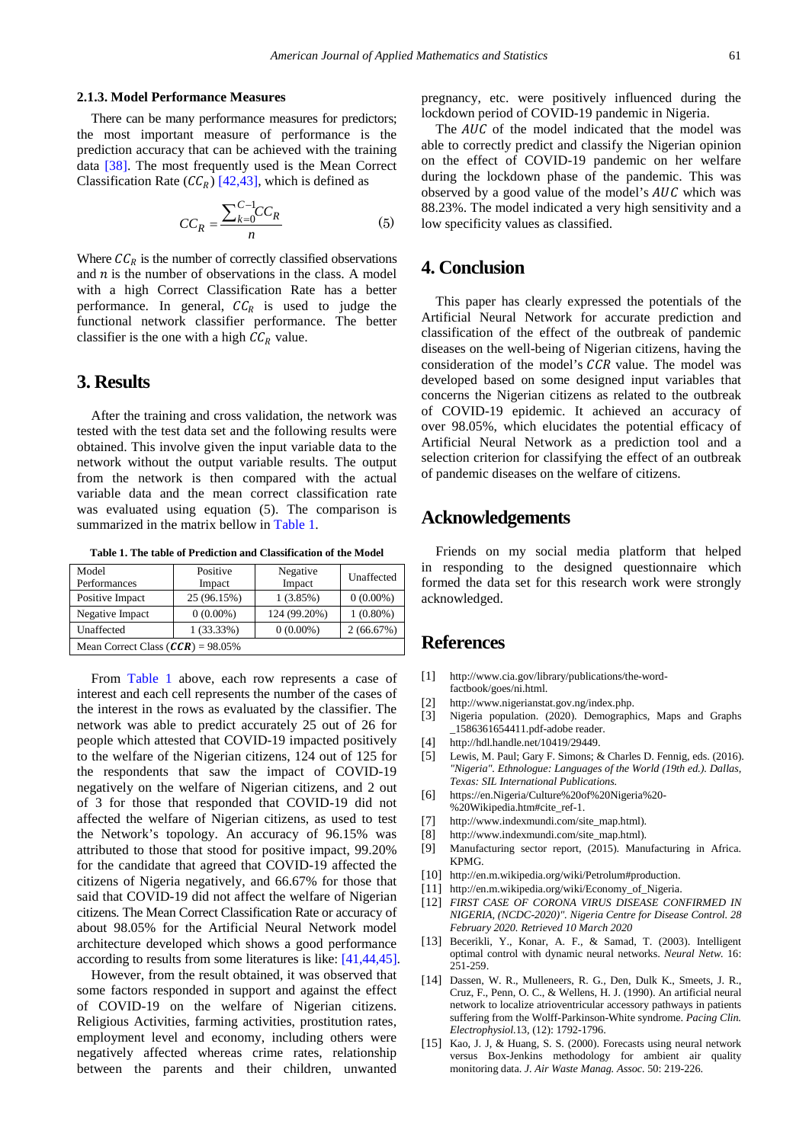#### **2.1.3. Model Performance Measures**

There can be many performance measures for predictors; the most important measure of performance is the prediction accuracy that can be achieved with the training data [\[38\].](#page-4-14) The most frequently used is the Mean Correct Classification Rate  $(CC_R)$  [\[42,43\],](#page-4-18) which is defined as

$$
CC_R = \frac{\sum_{k=0}^{C-1}CC_R}{n}
$$
 (5)

Where  $\mathcal{C}\mathcal{C}_R$  is the number of correctly classified observations and  $n$  is the number of observations in the class. A model with a high Correct Classification Rate has a better performance. In general,  $CC_R$  is used to judge the functional network classifier performance. The better classifier is the one with a high  $\mathcal{C}\mathcal{C}_R$  value.

## **3. Results**

After the training and cross validation, the network was tested with the test data set and the following results were obtained. This involve given the input variable data to the network without the output variable results. The output from the network is then compared with the actual variable data and the mean correct classification rate was evaluated using equation (5). The comparison is summarized in the matrix bellow i[n Table 1.](#page-3-13)

**Table 1. The table of Prediction and Classification of the Model**

<span id="page-3-13"></span>

| Model                               | Positive     | Negative     | Unaffected  |  |  |  |  |
|-------------------------------------|--------------|--------------|-------------|--|--|--|--|
| Performances                        | Impact       | Impact       |             |  |  |  |  |
| Positive Impact                     | 25 (96.15%)  | 1(3.85%)     | $0(0.00\%)$ |  |  |  |  |
| Negative Impact                     | $0(0.00\%)$  | 124 (99.20%) | $1(0.80\%)$ |  |  |  |  |
| Unaffected                          | $1(33.33\%)$ | $0(0.00\%)$  | 2(66.67%)   |  |  |  |  |
| Mean Correct Class $(CCR)$ = 98.05% |              |              |             |  |  |  |  |

From [Table 1](#page-3-13) above, each row represents a case of interest and each cell represents the number of the cases of the interest in the rows as evaluated by the classifier. The network was able to predict accurately 25 out of 26 for people which attested that COVID-19 impacted positively to the welfare of the Nigerian citizens, 124 out of 125 for the respondents that saw the impact of COVID-19 negatively on the welfare of Nigerian citizens, and 2 out of 3 for those that responded that COVID-19 did not affected the welfare of Nigerian citizens, as used to test the Network's topology. An accuracy of 96.15% was attributed to those that stood for positive impact, 99.20% for the candidate that agreed that COVID-19 affected the citizens of Nigeria negatively, and 66.67% for those that said that COVID-19 did not affect the welfare of Nigerian citizens. The Mean Correct Classification Rate or accuracy of about 98.05% for the Artificial Neural Network model architecture developed which shows a good performance according to results from some literatures is like: [\[41,44,45\].](#page-4-17)

However, from the result obtained, it was observed that some factors responded in support and against the effect of COVID-19 on the welfare of Nigerian citizens. Religious Activities, farming activities, prostitution rates, employment level and economy, including others were negatively affected whereas crime rates, relationship between the parents and their children, unwanted pregnancy, etc. were positively influenced during the lockdown period of COVID-19 pandemic in Nigeria.

The  $AUC$  of the model indicated that the model was able to correctly predict and classify the Nigerian opinion on the effect of COVID-19 pandemic on her welfare during the lockdown phase of the pandemic. This was observed by a good value of the model's  $AUC$  which was 88.23%. The model indicated a very high sensitivity and a low specificity values as classified.

## **4. Conclusion**

This paper has clearly expressed the potentials of the Artificial Neural Network for accurate prediction and classification of the effect of the outbreak of pandemic diseases on the well-being of Nigerian citizens, having the consideration of the model's CCR value. The model was developed based on some designed input variables that concerns the Nigerian citizens as related to the outbreak of COVID-19 epidemic. It achieved an accuracy of over 98.05%, which elucidates the potential efficacy of Artificial Neural Network as a prediction tool and a selection criterion for classifying the effect of an outbreak of pandemic diseases on the welfare of citizens.

### **Acknowledgements**

Friends on my social media platform that helped in responding to the designed questionnaire which formed the data set for this research work were strongly acknowledged.

## **References**

- <span id="page-3-0"></span>[1] http://www.cia.gov/library/publications/the-wordfactbook/goes/ni.html.
- <span id="page-3-1"></span>[2] http://www.nigerianstat.gov.ng/index.php.
- <span id="page-3-2"></span>[3] Nigeria population. (2020). Demographics, Maps and Graphs \_1586361654411.pdf-adobe reader.
- <span id="page-3-3"></span>[4] http://hdl.handle.net/10419/29449.
- <span id="page-3-4"></span>[5] Lewis, M. Paul; Gary F. Simons; & Charles D. Fennig, eds. (2016). *"Nigeria". Ethnologue: Languages of the World (19th ed.). Dallas, Texas: SIL International Publications.*
- <span id="page-3-5"></span>[6] https://en.Nigeria/Culture%20of%20Nigeria%20- %20Wikipedia.htm#cite\_ref-1.
- <span id="page-3-6"></span>[7] http://www.indexmundi.com/site\_map.html).
- <span id="page-3-7"></span>[8] http://www.indexmundi.com/site\_map.html).
- <span id="page-3-8"></span>[9] Manufacturing sector report, (2015). Manufacturing in Africa. KPMG.
- <span id="page-3-9"></span>[10] http://en.m.wikipedia.org/wiki/Petrolum#production.
- <span id="page-3-10"></span>[11] http://en.m.wikipedia.org/wiki/Economy\_of\_Nigeria.
- <span id="page-3-11"></span>[12] *FIRST CASE OF CORONA VIRUS DISEASE CONFIRMED IN NIGERIA, (NCDC-2020)". Nigeria Centre for Disease Control. 28 February 2020. Retrieved 10 March 2020*
- <span id="page-3-12"></span>[13] Becerikli, Y., Konar, A. F., & Samad, T. (2003). Intelligent optimal control with dynamic neural networks. *Neural Netw.* 16: 251-259.
- [14] Dassen, W. R., Mulleneers, R. G., Den, Dulk K., Smeets, J. R., Cruz, F., Penn, O. C., & Wellens, H. J. (1990). An artificial neural network to localize atrioventricular accessory pathways in patients suffering from the Wolff-Parkinson-White syndrome. *Pacing Clin. Electrophysiol.*13, (12): 1792-1796.
- [15] Kao, J. J, & Huang, S. S. (2000). Forecasts using neural network versus Box-Jenkins methodology for ambient air quality monitoring data. *J. Air Waste Manag. Assoc.* 50: 219-226.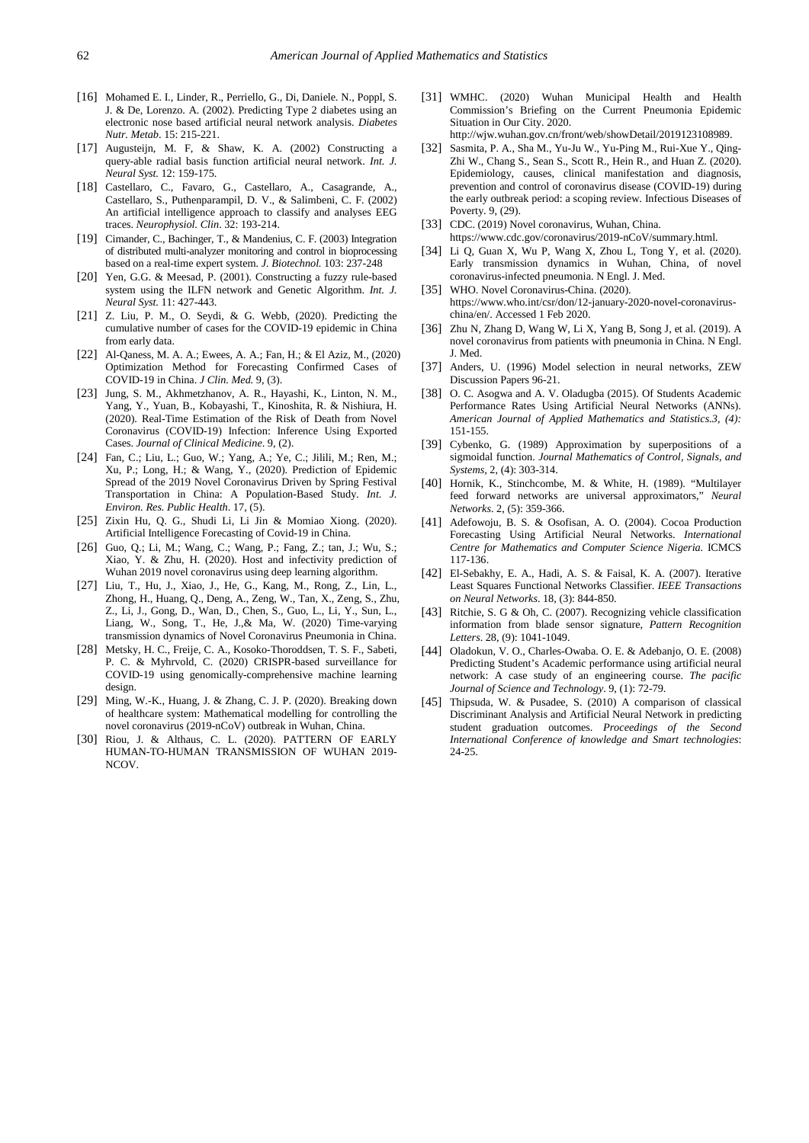- [16] Mohamed E. I., Linder, R., Perriello, G., Di, Daniele. N., Poppl, S. J. & De, Lorenzo. A. (2002). Predicting Type 2 diabetes using an electronic nose based artificial neural network analysis. *Diabetes Nutr. Metab*. 15: 215-221.
- <span id="page-4-0"></span>[17] Augusteijn, M. F, & Shaw, K. A. (2002) Constructing a query-able radial basis function artificial neural network. *Int. J. Neural Syst.* 12: 159-175.
- [18] Castellaro, C., Favaro, G., Castellaro, A., Casagrande, A., Castellaro, S., Puthenparampil, D. V., & Salimbeni, C. F. (2002) An artificial intelligence approach to classify and analyses EEG traces. *Neurophysiol. Clin*. 32: 193-214.
- [19] Cimander, C., Bachinger, T., & Mandenius, C. F. (2003) Integration of distributed multi-analyzer monitoring and control in bioprocessing based on a real-time expert system. *J. Biotechnol.* 103: 237-248
- [20] Yen, G.G. & Meesad, P. (2001). Constructing a fuzzy rule-based system using the ILFN network and Genetic Algorithm. *Int. J. Neural Syst.* 11: 427-443.
- <span id="page-4-1"></span>[21] Z. Liu, P. M., O. Seydi, & G. Webb, (2020). Predicting the cumulative number of cases for the COVID-19 epidemic in China from early data.
- <span id="page-4-2"></span>[22] Al-Qaness, M. A. A.; Ewees, A. A.; Fan, H.; & El Aziz, M., (2020) Optimization Method for Forecasting Confirmed Cases of COVID-19 in China. *J Clin. Med.* 9, (3).
- <span id="page-4-3"></span>[23] Jung, S. M., Akhmetzhanov, A. R., Hayashi, K., Linton, N. M., Yang, Y., Yuan, B., Kobayashi, T., Kinoshita, R. & Nishiura, H. (2020). Real-Time Estimation of the Risk of Death from Novel Coronavirus (COVID-19) Infection: Inference Using Exported Cases. *Journal of Clinical Medicine*. 9, (2).
- <span id="page-4-4"></span>[24] Fan, C.; Liu, L.; Guo, W.; Yang, A.; Ye, C.; Jilili, M.; Ren, M.; Xu, P.; Long, H.; & Wang, Y., (2020). Prediction of Epidemic Spread of the 2019 Novel Coronavirus Driven by Spring Festival Transportation in China: A Population-Based Study. *Int. J. Environ. Res. Public Health*. 17, (5).
- <span id="page-4-5"></span>[25] Zixin Hu, Q. G., Shudi Li, Li Jin & Momiao Xiong. (2020). Artificial Intelligence Forecasting of Covid-19 in China.
- <span id="page-4-6"></span>[26] Guo, Q.; Li, M.; Wang, C.; Wang, P.; Fang, Z.; tan, J.; Wu, S.; Xiao, Y. & Zhu, H. (2020). Host and infectivity prediction of Wuhan 2019 novel coronavirus using deep learning algorithm.
- <span id="page-4-7"></span>[27] Liu, T., Hu, J., Xiao, J., He, G., Kang, M., Rong, Z., Lin, L., Zhong, H., Huang, Q., Deng, A., Zeng, W., Tan, X., Zeng, S., Zhu, Z., Li, J., Gong, D., Wan, D., Chen, S., Guo, L., Li, Y., Sun, L., Liang, W., Song, T., He, J.,& Ma, W. (2020) Time-varying transmission dynamics of Novel Coronavirus Pneumonia in China.
- [28] Metsky, H. C., Freije, C. A., Kosoko-Thoroddsen, T. S. F., Sabeti, P. C. & Myhrvold, C. (2020) CRISPR-based surveillance for COVID-19 using genomically-comprehensive machine learning design.
- [29] Ming, W.-K., Huang, J. & Zhang, C. J. P. (2020). Breaking down of healthcare system: Mathematical modelling for controlling the novel coronavirus (2019-nCoV) outbreak in Wuhan, China.
- [30] Riou, J. & Althaus, C. L. (2020). PATTERN OF EARLY HUMAN-TO-HUMAN TRANSMISSION OF WUHAN 2019- NCOV.
- <span id="page-4-8"></span>[31] WMHC. (2020) Wuhan Municipal Health and Health Commission's Briefing on the Current Pneumonia Epidemic Situation in Our City. 2020.
- http://wjw.wuhan.gov.cn/front/web/showDetail/2019123108989.
- <span id="page-4-9"></span>[32] Sasmita, P. A., Sha M., Yu-Ju W., Yu-Ping M., Rui-Xue Y., Qing-Zhi W., Chang S., Sean S., Scott R., Hein R., and Huan Z. (2020). Epidemiology, causes, clinical manifestation and diagnosis, prevention and control of coronavirus disease (COVID-19) during the early outbreak period: a scoping review. Infectious Diseases of Poverty. 9, (29).
- <span id="page-4-10"></span>[33] CDC. (2019) Novel coronavirus, Wuhan, China.
- https://www.cdc.gov/coronavirus/2019-nCoV/summary.html. [34] Li Q, Guan X, Wu P, Wang X, Zhou L, Tong Y, et al. (2020). Early transmission dynamics in Wuhan, China, of novel coronavirus-infected pneumonia. N Engl. J. Med.
- <span id="page-4-11"></span>[35] WHO. Novel Coronavirus-China. (2020). https://www.who.int/csr/don/12-january-2020-novel-coronaviruschina/en/. Accessed 1 Feb 2020.
- <span id="page-4-12"></span>[36] Zhu N, Zhang D, Wang W, Li X, Yang B, Song J, et al. (2019). A novel coronavirus from patients with pneumonia in China. N Engl. J. Med.
- <span id="page-4-13"></span>[37] Anders, U. (1996) Model selection in neural networks, ZEW Discussion Papers 96-21.
- <span id="page-4-14"></span>[38] O. C. Asogwa and A. V. Oladugba (2015). Of Students Academic Performance Rates Using Artificial Neural Networks (ANNs). *American Journal of Applied Mathematics and Statistics.3, (4):*  151-155.
- <span id="page-4-15"></span>[39] Cybenko, G. (1989) Approximation by superpositions of a sigmoidal function. *Journal Mathematics of Control, Signals, and Systems,* 2, (4): 303-314.
- <span id="page-4-16"></span>[40] Hornik, K., Stinchcombe, M. & White, H. (1989). "Multilayer feed forward networks are universal approximators," *Neural Networks*. 2, (5): 359-366.
- <span id="page-4-17"></span>[41] Adefowoju, B. S. & Osofisan, A. O. (2004). Cocoa Production Forecasting Using Artificial Neural Networks. *International Centre for Mathematics and Computer Science Nigeria.* ICMCS 117-136.
- <span id="page-4-18"></span>[42] El-Sebakhy, E. A., Hadi, A. S. & Faisal, K. A. (2007). Iterative Least Squares Functional Networks Classifier. *IEEE Transactions on Neural Networks*. 18, (3): 844-850.
- [43] Ritchie, S. G & Oh, C. (2007). Recognizing vehicle classification information from blade sensor signature, *Pattern Recognition Letters*. 28, (9): 1041-1049.
- [44] Oladokun, V. O., Charles-Owaba. O. E. & Adebanjo, O. E. (2008) Predicting Student's Academic performance using artificial neural network: A case study of an engineering course. *The pacific Journal of Science and Technology*. 9, (1): 72-79.
- [45] Thipsuda, W. & Pusadee, S. (2010) A comparison of classical Discriminant Analysis and Artificial Neural Network in predicting student graduation outcomes. *Proceedings of the Second International Conference of knowledge and Smart technologies*: 24-25.